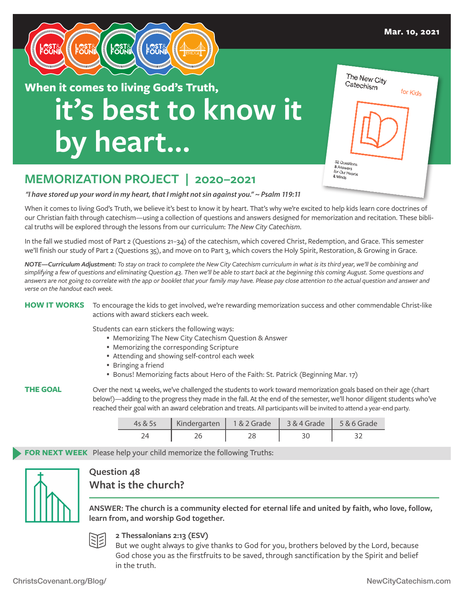

# **it's best to know it by heart… When it comes to living God's Truth,**

| The New City<br>Catechism<br>for Kids                  |  |
|--------------------------------------------------------|--|
|                                                        |  |
| 52 Questions<br>& Answers<br>for Our Hearts<br>& Minds |  |

## **MEMORIZATION PROJECT | 2020–2021**

*"I have stored up your word in my heart, that I might not sin against you." ~ Psalm 119:11*

When it comes to living God's Truth, we believe it's best to know it by heart. That's why we're excited to help kids learn core doctrines of our Christian faith through catechism—using a collection of questions and answers designed for memorization and recitation. These biblical truths will be explored through the lessons from our curriculum: *The New City Catechism*.

In the fall we studied most of Part 2 (Questions 21–34) of the catechism, which covered Christ, Redemption, and Grace. This semester we'll finish our study of Part 2 (Questions 35), and move on to Part 3, which covers the Holy Spirit, Restoration, & Growing in Grace.

*NOTE—Curriculum Adjustment: To stay on track to complete the New City Catechism curriculum in what is its third year, we'll be combining and simplifying a few of questions and eliminating Question 43. Then we'll be able to start back at the beginning this coming August. Some questions and*  answers are not going to correlate with the app or booklet that your family may have. Please pay close attention to the actual question and answer and *verse on the handout each week.*

**HOW IT WORKS** To encourage the kids to get involved, we're rewarding memorization success and other commendable Christ-like actions with award stickers each week.

Students can earn stickers the following ways:

- Memorizing The New City Catechism Question & Answer
- Memorizing the corresponding Scripture
- Attending and showing self-control each week
- Bringing a friend
- Bonus! Memorizing facts about Hero of the Faith: St. Patrick (Beginning Mar. 17)

**THE GOAL** Over the next 14 weeks, we've challenged the students to work toward memorization goals based on their age (chart below!)—adding to the progress they made in the fall. At the end of the semester, we'll honor diligent students who've reached their goal with an award celebration and treats. All participants will be invited to attend a year-end party.

| 4s & 5s | Kindergarten   1 & 2 Grade   3 & 4 Grade |  | $5 & 6$ Grade |
|---------|------------------------------------------|--|---------------|
|         |                                          |  |               |

**FOR NEXT WEEK** Please help your child memorize the following Truths:



### **Question 48 What is the church?**

**ANSWER: The church is a community elected for eternal life and united by faith, who love, follow, learn from, and worship God together.**



**2 Thessalonians 2:13 (ESV)**

But we ought always to give thanks to God for you, brothers beloved by the Lord, because God chose you as the firstfruits to be saved, through sanctification by the Spirit and belief in the truth.